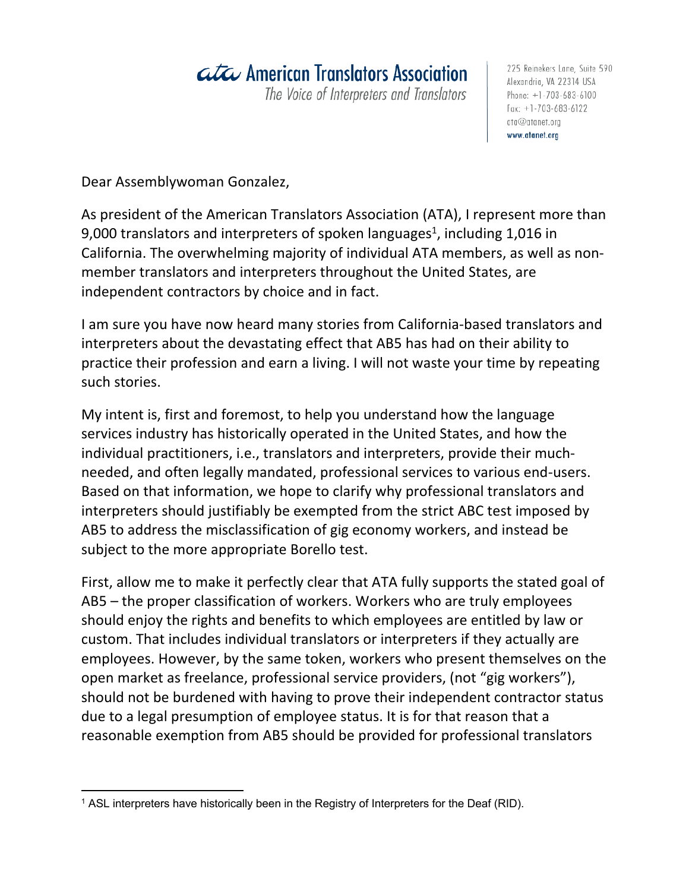## ata American Translators Association

The Voice of Interpreters and Translators

225 Reinekers Lane, Suite 590 Alexandria, VA 22314 USA Phone:  $+1 - 703 - 683 - 6100$  $Fax: +1 -703 -683 -6122$  $at a @atanet.org$ www.atanet.org

Dear Assemblywoman Gonzalez,

As president of the American Translators Association (ATA), I represent more than 9,000 translators and interpreters of spoken languages<sup>1</sup>, including 1,016 in California. The overwhelming majority of individual ATA members, as well as nonmember translators and interpreters throughout the United States, are independent contractors by choice and in fact.

I am sure you have now heard many stories from California-based translators and interpreters about the devastating effect that AB5 has had on their ability to practice their profession and earn a living. I will not waste your time by repeating such stories.

My intent is, first and foremost, to help you understand how the language services industry has historically operated in the United States, and how the individual practitioners, i.e., translators and interpreters, provide their muchneeded, and often legally mandated, professional services to various end-users. Based on that information, we hope to clarify why professional translators and interpreters should justifiably be exempted from the strict ABC test imposed by AB5 to address the misclassification of gig economy workers, and instead be subject to the more appropriate Borello test.

First, allow me to make it perfectly clear that ATA fully supports the stated goal of AB5 – the proper classification of workers. Workers who are truly employees should enjoy the rights and benefits to which employees are entitled by law or custom. That includes individual translators or interpreters if they actually are employees. However, by the same token, workers who present themselves on the open market as freelance, professional service providers, (not "gig workers"), should not be burdened with having to prove their independent contractor status due to a legal presumption of employee status. It is for that reason that a reasonable exemption from AB5 should be provided for professional translators

<sup>&</sup>lt;sup>1</sup> ASL interpreters have historically been in the Registry of Interpreters for the Deaf (RID).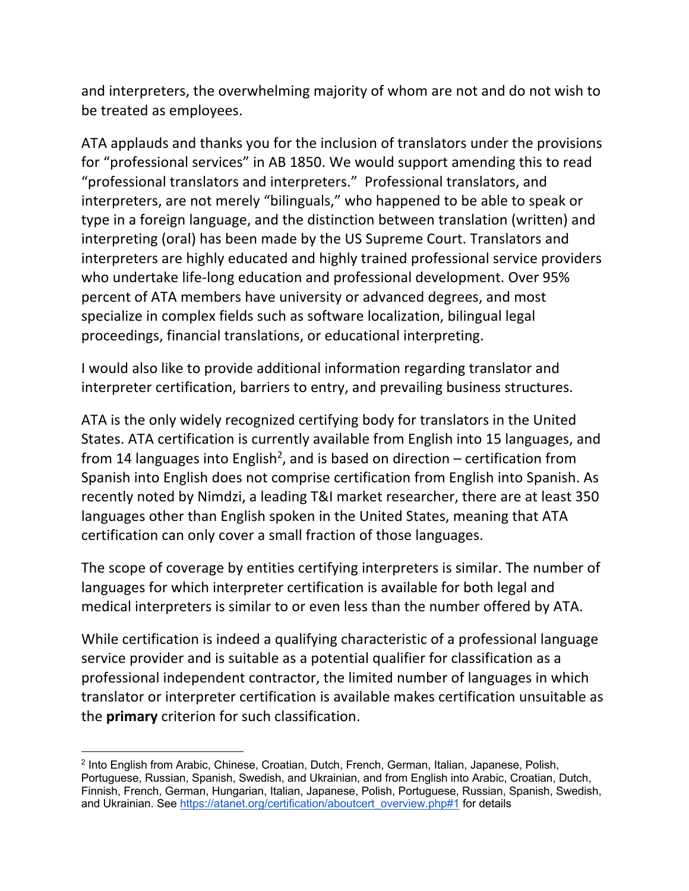and interpreters, the overwhelming majority of whom are not and do not wish to be treated as employees.

ATA applauds and thanks you for the inclusion of translators under the provisions for "professional services" in AB 1850. We would support amending this to read "professional translators and interpreters." Professional translators, and interpreters, are not merely "bilinguals," who happened to be able to speak or type in a foreign language, and the distinction between translation (written) and interpreting (oral) has been made by the US Supreme Court. Translators and interpreters are highly educated and highly trained professional service providers who undertake life-long education and professional development. Over 95% percent of ATA members have university or advanced degrees, and most specialize in complex fields such as software localization, bilingual legal proceedings, financial translations, or educational interpreting.

I would also like to provide additional information regarding translator and interpreter certification, barriers to entry, and prevailing business structures.

ATA is the only widely recognized certifying body for translators in the United States. ATA certification is currently available from English into 15 languages, and from 14 languages into English<sup>2</sup>, and is based on direction – certification from Spanish into English does not comprise certification from English into Spanish. As recently noted by Nimdzi, a leading T&I market researcher, there are at least 350 languages other than English spoken in the United States, meaning that ATA certification can only cover a small fraction of those languages.

The scope of coverage by entities certifying interpreters is similar. The number of languages for which interpreter certification is available for both legal and medical interpreters is similar to or even less than the number offered by ATA.

While certification is indeed a qualifying characteristic of a professional language service provider and is suitable as a potential qualifier for classification as a professional independent contractor, the limited number of languages in which translator or interpreter certification is available makes certification unsuitable as the **primary** criterion for such classification.

<sup>&</sup>lt;sup>2</sup> Into English from Arabic, Chinese, Croatian, Dutch, French, German, Italian, Japanese, Polish, Portuguese, Russian, Spanish, Swedish, and Ukrainian, and from English into Arabic, Croatian, Dutch, Finnish, French, German, Hungarian, Italian, Japanese, Polish, Portuguese, Russian, Spanish, Swedish, and Ukrainian. See https://atanet.org/certification/aboutcert\_overview.php#1 for details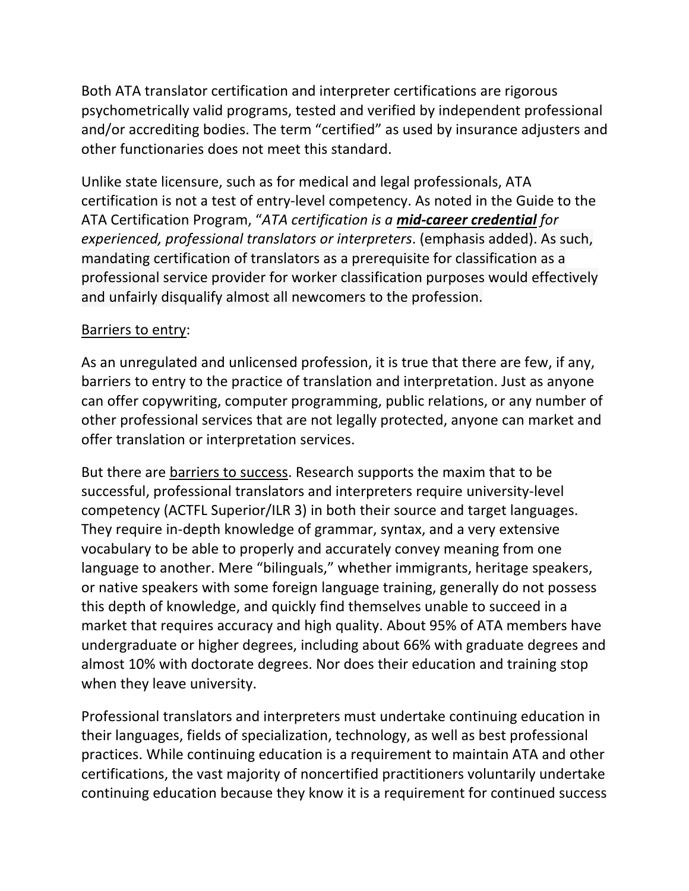Both ATA translator certification and interpreter certifications are rigorous psychometrically valid programs, tested and verified by independent professional and/or accrediting bodies. The term "certified" as used by insurance adjusters and other functionaries does not meet this standard.

Unlike state licensure, such as for medical and legal professionals, ATA certification is not a test of entry-level competency. As noted in the Guide to the ATA Certification Program, "*ATA certification is a mid-career credential for experienced, professional translators or interpreters*. (emphasis added). As such, mandating certification of translators as a prerequisite for classification as a professional service provider for worker classification purposes would effectively and unfairly disqualify almost all newcomers to the profession.

## Barriers to entry:

As an unregulated and unlicensed profession, it is true that there are few, if any, barriers to entry to the practice of translation and interpretation. Just as anyone can offer copywriting, computer programming, public relations, or any number of other professional services that are not legally protected, anyone can market and offer translation or interpretation services.

But there are barriers to success. Research supports the maxim that to be successful, professional translators and interpreters require university-level competency (ACTFL Superior/ILR 3) in both their source and target languages. They require in-depth knowledge of grammar, syntax, and a very extensive vocabulary to be able to properly and accurately convey meaning from one language to another. Mere "bilinguals," whether immigrants, heritage speakers, or native speakers with some foreign language training, generally do not possess this depth of knowledge, and quickly find themselves unable to succeed in a market that requires accuracy and high quality. About 95% of ATA members have undergraduate or higher degrees, including about 66% with graduate degrees and almost 10% with doctorate degrees. Nor does their education and training stop when they leave university.

Professional translators and interpreters must undertake continuing education in their languages, fields of specialization, technology, as well as best professional practices. While continuing education is a requirement to maintain ATA and other certifications, the vast majority of noncertified practitioners voluntarily undertake continuing education because they know it is a requirement for continued success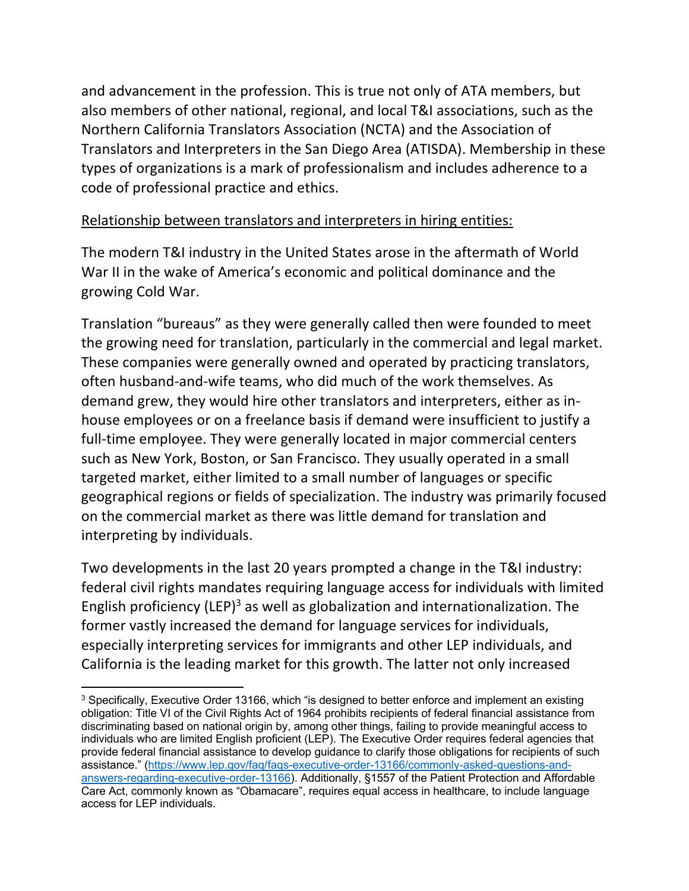and advancement in the profession. This is true not only of ATA members, but also members of other national, regional, and local T&I associations, such as the Northern California Translators Association (NCTA) and the Association of Translators and Interpreters in the San Diego Area (ATISDA). Membership in these types of organizations is a mark of professionalism and includes adherence to a code of professional practice and ethics.

## Relationship between translators and interpreters in hiring entities:

The modern T&I industry in the United States arose in the aftermath of World War II in the wake of America's economic and political dominance and the growing Cold War.

Translation "bureaus" as they were generally called then were founded to meet the growing need for translation, particularly in the commercial and legal market. These companies were generally owned and operated by practicing translators, often husband-and-wife teams, who did much of the work themselves. As demand grew, they would hire other translators and interpreters, either as inhouse employees or on a freelance basis if demand were insufficient to justify a full-time employee. They were generally located in major commercial centers such as New York, Boston, or San Francisco. They usually operated in a small targeted market, either limited to a small number of languages or specific geographical regions or fields of specialization. The industry was primarily focused on the commercial market as there was little demand for translation and interpreting by individuals.

Two developments in the last 20 years prompted a change in the T&I industry: federal civil rights mandates requiring language access for individuals with limited English proficiency (LEP)<sup>3</sup> as well as globalization and internationalization. The former vastly increased the demand for language services for individuals, especially interpreting services for immigrants and other LEP individuals, and California is the leading market for this growth. The latter not only increased

<sup>&</sup>lt;sup>3</sup> Specifically, Executive Order 13166, which "is designed to better enforce and implement an existing obligation: Title VI of the Civil Rights Act of 1964 prohibits recipients of federal financial assistance from discriminating based on national origin by, among other things, failing to provide meaningful access to individuals who are limited English proficient (LEP). The Executive Order requires federal agencies that provide federal financial assistance to develop guidance to clarify those obligations for recipients of such assistance." (https://www.lep.gov/faq/faqs-executive-order-13166/commonly-asked-questions-andanswers-regarding-executive-order-13166). Additionally, §1557 of the Patient Protection and Affordable Care Act, commonly known as "Obamacare", requires equal access in healthcare, to include language access for LEP individuals.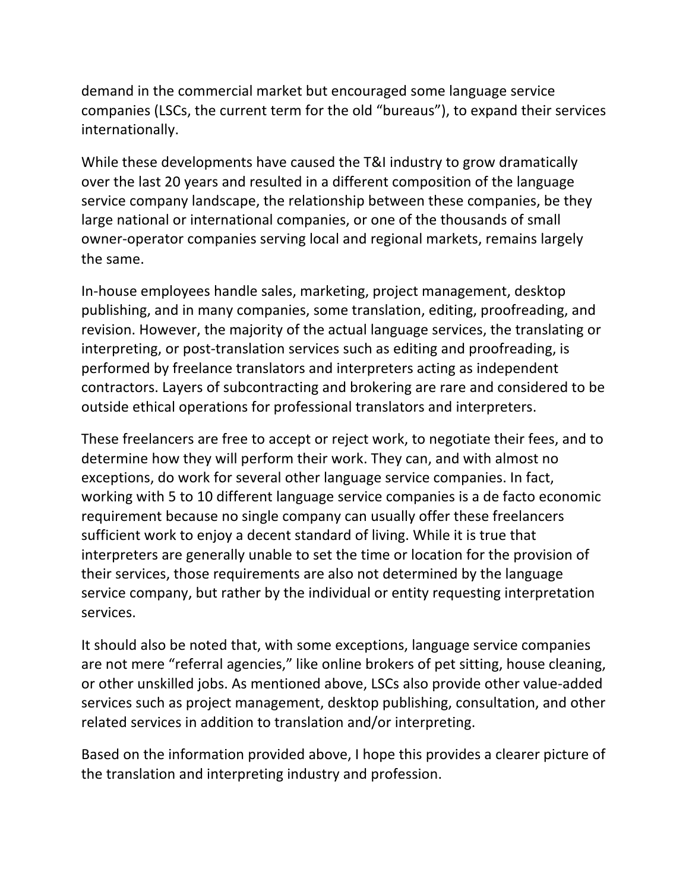demand in the commercial market but encouraged some language service companies (LSCs, the current term for the old "bureaus"), to expand their services internationally.

While these developments have caused the T&I industry to grow dramatically over the last 20 years and resulted in a different composition of the language service company landscape, the relationship between these companies, be they large national or international companies, or one of the thousands of small owner-operator companies serving local and regional markets, remains largely the same.

In-house employees handle sales, marketing, project management, desktop publishing, and in many companies, some translation, editing, proofreading, and revision. However, the majority of the actual language services, the translating or interpreting, or post-translation services such as editing and proofreading, is performed by freelance translators and interpreters acting as independent contractors. Layers of subcontracting and brokering are rare and considered to be outside ethical operations for professional translators and interpreters.

These freelancers are free to accept or reject work, to negotiate their fees, and to determine how they will perform their work. They can, and with almost no exceptions, do work for several other language service companies. In fact, working with 5 to 10 different language service companies is a de facto economic requirement because no single company can usually offer these freelancers sufficient work to enjoy a decent standard of living. While it is true that interpreters are generally unable to set the time or location for the provision of their services, those requirements are also not determined by the language service company, but rather by the individual or entity requesting interpretation services.

It should also be noted that, with some exceptions, language service companies are not mere "referral agencies," like online brokers of pet sitting, house cleaning, or other unskilled jobs. As mentioned above, LSCs also provide other value-added services such as project management, desktop publishing, consultation, and other related services in addition to translation and/or interpreting.

Based on the information provided above, I hope this provides a clearer picture of the translation and interpreting industry and profession.